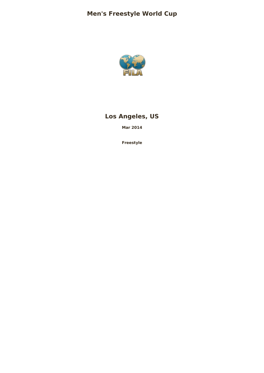

# **Los Angeles, US**

**Mar 2014**

**Freestyle**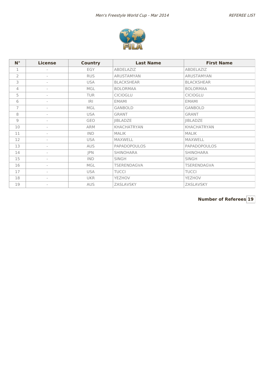

| $N^{\circ}$                                               | <b>License</b>           | <b>Country</b> | <b>Last Name</b>    | <b>First Name</b> |
|-----------------------------------------------------------|--------------------------|----------------|---------------------|-------------------|
| 1                                                         |                          | EGY            | ABDELAZIZ           | ABDELAZIZ         |
| $\overline{2}$                                            | $\overline{\phantom{a}}$ | <b>RUS</b>     | ARUSTAMYAN          | ARUSTAMYAN        |
| 3                                                         | $\overline{\phantom{a}}$ | <b>USA</b>     | <b>BLACKSHEAR</b>   | <b>BLACKSHEAR</b> |
| 4                                                         | $\overline{a}$           | MGL            | <b>BOLORMAA</b>     | <b>BOLORMAA</b>   |
| 5                                                         |                          | <b>TUR</b>     | <b>CICIOGLU</b>     | <b>CICIOGLU</b>   |
| 6                                                         | $\overline{\phantom{a}}$ | R              | <b>EMAMI</b>        | <b>EMAMI</b>      |
| 7                                                         | $\overline{\phantom{a}}$ | MGL            | <b>GANBOLD</b>      | <b>GANBOLD</b>    |
| 8                                                         | $\overline{\phantom{a}}$ | <b>USA</b>     | <b>GRANT</b>        | <b>GRANT</b>      |
| $\mathcal{G}% _{M_{1},M_{2}}^{\alpha,\beta}(\varepsilon)$ | $\overline{\phantom{a}}$ | GEO            | <b>JIBLADZE</b>     | <b>JIBLADZE</b>   |
| 10                                                        | $\overline{\phantom{a}}$ | <b>ARM</b>     | <b>KHACHATRYAN</b>  | KHACHATRYAN       |
| 11                                                        | $\overline{\phantom{a}}$ | <b>IND</b>     | <b>MALIK</b>        | <b>MALIK</b>      |
| 12                                                        |                          | <b>USA</b>     | <b>MAXWELL</b>      | <b>MAXWELL</b>    |
| 13                                                        | $\overline{\phantom{a}}$ | <b>AUS</b>     | <b>PAPADOPOULOS</b> | PAPADOPOULOS      |
| 14                                                        | $\overline{\phantom{a}}$ | JPN            | <b>SHINOHARA</b>    | <b>SHINOHARA</b>  |
| 15                                                        | $\overline{\phantom{a}}$ | <b>IND</b>     | <b>SINGH</b>        | <b>SINGH</b>      |
| 16                                                        | $\overline{a}$           | MGL            | TSERENDAGVA         | TSERENDAGVA       |
| 17                                                        | $\overline{\phantom{a}}$ | <b>USA</b>     | <b>TUCCI</b>        | <b>TUCCI</b>      |
| 18                                                        | $\overline{\phantom{a}}$ | <b>UKR</b>     | YEZHOV              | YEZHOV            |
| 19                                                        | $\overline{\phantom{a}}$ | <b>AUS</b>     | ZASLAVSKY           | ZASLAVSKY         |

**Number of Referees 19**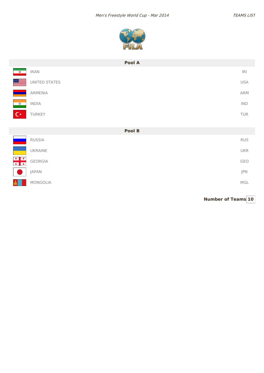

| Pool A                                                                    |                |
|---------------------------------------------------------------------------|----------------|
| <b>IRAN</b>                                                               | $ \mathsf{R} $ |
| UNITED STATES                                                             | <b>USA</b>     |
| ARMENIA                                                                   | ARM            |
| <b>INDIA</b>                                                              | $\mathsf{IND}$ |
| TURKEY                                                                    | TUR            |
|                                                                           |                |
| Pool B                                                                    |                |
| <b>RUSSIA</b>                                                             | <b>RUS</b>     |
| UKRAINE                                                                   | <b>UKR</b>     |
| $\begin{array}{c c c c} \hline \ast & \ast \end{array}$<br><b>GEORGIA</b> | GEO            |
| JAPAN                                                                     | JPN            |
| <b>MONGOLIA</b>                                                           | MGL            |
|                                                                           |                |

**Number of Teams 10**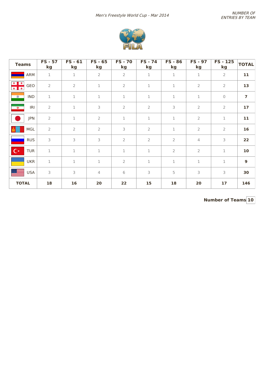

| <b>Teams</b>            | <b>FS - 57</b><br>kg | $FS - 61$<br>kg | $FS - 65$<br>kg | <b>FS-70</b><br>kg | $FS - 74$<br>kg | <b>FS - 86</b><br>kg | <b>FS - 97</b><br>kg | <b>FS-125</b><br>kg | <b>TOTAL</b>   |
|-------------------------|----------------------|-----------------|-----------------|--------------------|-----------------|----------------------|----------------------|---------------------|----------------|
| <b>ARM</b>              | $\mathbf 1$          | $\mathbf 1$     | $\overline{2}$  | $\overline{2}$     | $\mathbf 1$     | $\mathbf{1}$         | $\mathbf 1$          | $\overline{2}$      | 11             |
| $+ +$<br>GEO<br>$+$ $+$ | $\overline{2}$       | $\overline{2}$  | 1               | $\overline{2}$     | 1               | $\mathbf{1}$         | $\overline{2}$       | $\overline{2}$      | 13             |
| <b>IND</b><br>$\bullet$ | $\mathbf 1$          | $\mathbf 1$     | $\mathbf 1$     | $\mathbf 1$        | $\mathbf 1$     | $1\,$                | $\mathbf 1$          | $\mathbf{0}$        | $\overline{ }$ |
| IRI<br>$\mathbf{\Phi}$  | $\mathbf{2}$         | $\mathbf 1$     | 3               | $\overline{2}$     | $\overline{2}$  | 3                    | $\overline{2}$       | $\overline{2}$      | 17             |
| <b>JPN</b>              | $\overline{2}$       | $\mathbf 1$     | $\overline{2}$  | $\mathbf 1$        | $\mathbf 1$     | $\mathbf 1$          | $\overline{2}$       | $\mathbf 1$         | 11             |
| MGL                     | $\overline{2}$       | $\overline{2}$  | $\overline{2}$  | 3                  | $\overline{2}$  | $\mathbf 1$          | $\overline{2}$       | $\overline{2}$      | 16             |
| <b>RUS</b>              | 3                    | 3               | 3               | $\overline{2}$     | $\overline{2}$  | $\overline{2}$       | $\overline{4}$       | 3                   | 22             |
| $C^*$<br><b>TUR</b>     | $\mathbf 1$          | $\mathbf 1$     | 1               | $\mathbf 1$        | $\mathbf 1$     | $\overline{2}$       | $\overline{2}$       | $\mathbf 1$         | 10             |
| <b>UKR</b>              | $\mathbf 1$          | $\mathbf 1$     | $\mathbf 1$     | $\overline{2}$     | $\mathbf 1$     | $\mathbf{1}$         | $\mathbf 1$          | $\mathbf 1$         | $\mathbf{9}$   |
| E.<br><b>USA</b>        | 3                    | 3               | $\overline{4}$  | 6                  | 3               | 5                    | 3                    | 3                   | 30             |
| <b>TOTAL</b>            | 18                   | 16              | 20              | 22                 | 15              | 18                   | 20                   | 17                  | 146            |

**Number of Teams 10**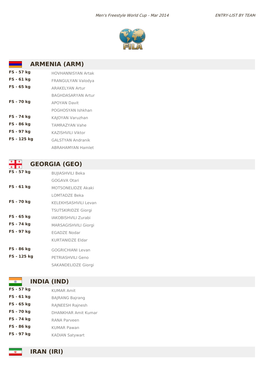

# **ARMENIA (ARM)**

| FS - 57 kg        | HOVHANNISYAN Artak        |
|-------------------|---------------------------|
| FS - 61 kg        | FRANGULYAN Valodya        |
| FS - 65 kg        | <b>ARAKFIYAN Artur</b>    |
|                   | <b>BAGHDASARYAN Artur</b> |
| <b>FS - 70 kg</b> | <b>APOYAN Davit</b>       |
|                   | POGHOSYAN Ishkhan         |
| FS - 74 kg        | KAJOYAN Varuzhan          |
| FS - 86 kg        | <b>TAMRAZYAN Vahe</b>     |
| FS - 97 kg        | KA7ISHVILI Viktor         |
| FS - 125 kg       | <b>GAI STYAN Andranik</b> |
|                   | <b>ABRAHAMYAN Hamlet</b>  |

| ۰                 | <b>GEORGIA (GEO)</b>        |
|-------------------|-----------------------------|
| FS - 57 kg        | <b>BUJIASHVILI Beka</b>     |
|                   | GOGAVA Otari                |
| FS - 61 kg        | MOTSONELIDZE Akaki          |
|                   | <b>LOMTADZE Beka</b>        |
| <b>FS - 70 kg</b> | <b>KELEKHSASHVILI Levan</b> |
|                   | <b>TSUTSKIRIDZE Giorgi</b>  |
| FS - 65 kg        | IAKOBISHVII I Zurabi        |
| FS - 74 kg        | <b>MARSAGISHVILI Giorgi</b> |
| FS - 97 kg        | EGADZE Nodar                |
|                   | <b>KURTANIDZE Eldar</b>     |
| FS - 86 kg        | <b>GOGRICHIANI Levan</b>    |
| FS - 125 kg       | PFTRIASHVILI Geno           |
|                   | <b>SAKANDELIDZE Giorgi</b>  |

## **INDIA (IND)**

 $\bullet$ 

**FS - 57 kg** KUMAR Amit **FS - 61 kg** BAJRANG Bajrang **FS - 65 kg** RAJNEESH Rajnesh **FS - 70 kg** DHANKHAR Amit Kumar **FS - 74 kg** RANA Parveen **FS - 86 kg** KUMAR Pawan **FS - 97 kg** KADIAN Satywart

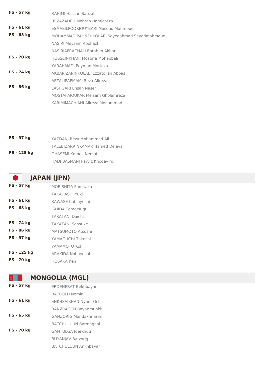| <b>FS - 57 kg</b> | RAHIMI Hassan Sabzali                         |
|-------------------|-----------------------------------------------|
|                   | REZAZADEH Mehrab Hamidreza                    |
| FS - 61 kg        | ESMAEILPOORJOUYBARI Masoud Mahmoud            |
| $FS - 65 kg$      | MOHAMMADIPAHNEHKOLAEI Seyedahmad Seyedmahmoud |
|                   | NASIRI Meysam Abolfazl                        |
|                   | NASIRIAFRACHALI Ebrahim Akbar                 |
| <b>FS - 70 kg</b> | HOSSEINKHANI Mostafa Mohabbali                |
|                   | YARAHMADI Peyman Morteza                      |
| FS - 74 kg        | AKBARIZARINKOLAFI Ezzatollah Abbas            |
|                   | AFZALIPAEMAMI Reza Alireza                    |
| FS - 86 kg        | LASHGARI Fhsan Naser                          |
|                   | <b>MOSTAFAIOUKAR Meisam Gholamreza</b>        |
|                   | KARIMIMACHIANI Alireza Mohammad               |

| FS - 97 kg  | YAZDANI Reza Mohammad Ali       |
|-------------|---------------------------------|
|             | TALEBIZARRINKAMAR Hamed Delavar |
| FS - 125 kg | <b>GHASEMI Komeil Nemat</b>     |
|             | HADI BASMANJ Parviz Khodavirdi  |

# **JAPAN (JPN)**

| FS - 57 kg        | <b>MORISHITA Fumitaka</b> |
|-------------------|---------------------------|
|                   | <b>TAKAHASHI Yuki</b>     |
| FS - 61 kg        | KAWASE Katsuyoshi         |
| FS - 65 kg        | <b>ISHIDA Tomotsugu</b>   |
|                   | <b>TAKATANI Daichi</b>    |
| FS - 74 kg        | <b>TAKATANI Sohsuke</b>   |
| FS - 86 kg        | MATSUMOTO Atsushi         |
| FS - 97 kg        | YAMAGUCHI Takeshi         |
|                   | YAMAMOTO Koki             |
| FS - 125 kg       | ARAKIDA Nobuyoshi         |
| <b>FS - 70 kg</b> | HOSAKA Ken                |

## **MONGOLIA (MGL)**

**FS - 57 kg** ERDENEBAT Bekhbayar BATBOLD Nomin **FS - 61 kg** ENKHSAIKHAN Nyam-Ochir BANZRAGCH Bayanmunkh **FS - 65 kg** GANZORIG Mandakhnaran BATCHULUUN Batmagnai **FS - 70 kg** GANTULGA Iderkhuu BUYANJAV Batzorig BATCHULUUN Ankhbayar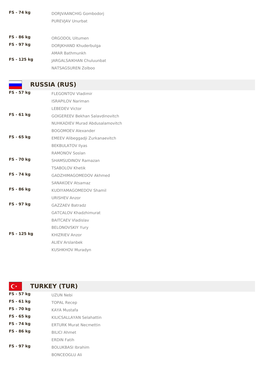- **FS - 74 kg** DORJVAANCHIG Gombodorj PUREVJAV Unurbat
- **FS - 86 kg** ORGODOL Uitumen **FS** - 97 kg<br>DORJKHAND Khuderbulga AMAR Bathmunkh **FS - 125 kg** JARGALSAIKHAN Chuluunbat NATSAGSUREN Zolboo

# **RUSSIA (RUS)**

| FS - 57 kg        | <b>FLEGONTOV Vladimir</b>              |
|-------------------|----------------------------------------|
|                   | <b>ISRAPILOV Nariman</b>               |
|                   | <b>LEBEDEV Victor</b>                  |
| $FS - 61 kg$      | <b>GOIGEREEV Bekhan Salavdinovitch</b> |
|                   | <b>NUHKADIEV Murad Abdusalamovitch</b> |
|                   | <b>BOGOMOEV Alexander</b>              |
| FS - 65 kg        | EMEEV Alibeggadji Zurkanaevitch        |
|                   | <b>BEKBULATOV Ilyas</b>                |
|                   | <b>RAMONOV Soslan</b>                  |
| <b>FS - 70 kg</b> | <b>SHAMSUDINOV Ramazan</b>             |
|                   | <b>TSABOLOV Khetik</b>                 |
| FS - 74 kg        | GADZHIMAGOMEDOV Akhmed                 |
|                   | <b>SANAKOEV Atsamaz</b>                |
| FS - 86 kg        | KUDIYAMAGOMEDOV Shamil                 |
|                   | <b>URISHEV Anzor</b>                   |
| <b>FS - 97 kg</b> | <b>GAZZAEV Batradz</b>                 |
|                   | <b>GATCALOV Khadzhimurat</b>           |
|                   | <b>BAITCAEV Vladislav</b>              |
|                   | <b>BELONOVSKIY Yury</b>                |
| FS - 125 kg       | <b>KHIZRIEV Anzor</b>                  |
|                   | <b>ALIEV Arslanbek</b>                 |
|                   | <b>KUSHKHOV Muradyn</b>                |

| $\mathbf{C}^*$  | <b>TURKEY (TUR)</b>           |  |
|-----------------|-------------------------------|--|
| FS - 57 kg      | UZUN Nebi                     |  |
| FS - 61 kg      | <b>TOPAL Recep</b>            |  |
| <b>FS-70 kg</b> | KAYA Mustafa                  |  |
| FS - 65 kg      | KILICSALLAYAN Selahattin      |  |
| FS - 74 kg      | <b>ERTURK Murat Necmettin</b> |  |
| FS - 86 kg      | <b>BILICI Ahmet</b>           |  |
|                 | <b>ERDIN Fatih</b>            |  |
| FS - 97 kg      | <b>BOLUKBASI Ibrahim</b>      |  |
|                 | <b>BONCEOGLU Ali</b>          |  |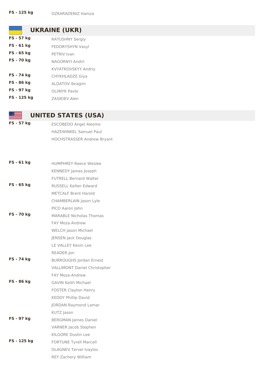**UKRAINE (UKR)**

**FS - 57 kg** RATUSHNY Sergiy **FS - 61 kg** FEDORYSHYN Vasyl **FS** - 65 kg PETRIV Ivan **FS - 70 kg** NAGORNYI Andrii KVYATKOVSKYY Andriy **FS - 74 kg** CHYKHLADZE Giya **FS - 86 kg** ALDATOV Ibragim **FS - 97 kg** OLIINYK Pavlo **FS - 125 kg** ZASIEIEV Alen

## **UNITED STATES (USA)**

**FS - 57 kg** ESCOBEDO Angel Alesmo HAZEWINKEL Samuel Paul HOCHSTRASSER Andrew Bryant

| FS - 61 kg      | <b>HUMPHREY Reece Weslee</b>        |
|-----------------|-------------------------------------|
|                 | <b>KENNEDY James Joseph</b>         |
|                 | <b>FUTRELL Bernard Walter</b>       |
| FS - 65 kg      | RUSSELL Kellen Edward               |
|                 | <b>METCALF Brent Harold</b>         |
|                 | CHAMBERLAIN Jason Lyle              |
|                 | PICO Aaron John                     |
| <b>FS-70 kg</b> | <b>MARABLE Nicholas Thomas</b>      |
|                 | <b>FAY Moza Andrew</b>              |
|                 | <b>WELCH Jason Michael</b>          |
|                 | <b>JENSEN Jack Douglas</b>          |
|                 | LE VALLEY Kevin Lee                 |
|                 | READER Jon                          |
| FS - 74 kg      | <b>BURROUGHS Jordan Ernest</b>      |
|                 | <b>VALLIMONT Daniel Christopher</b> |
|                 | <b>FAY Moza Andrew</b>              |
| FS - 86 kg      | <b>GAVIN Keith Michael</b>          |
|                 | <b>FOSTER Clayton Henry</b>         |
|                 | <b>KEDDY Phillip David</b>          |
|                 | <b>JORDAN Raymond Lamar</b>         |
|                 | KUTZ Jason                          |
| FS - 97 kg      | <b>BERGMAN James Daniel</b>         |
|                 | VARNER Jacob Stephen                |
|                 | KILGORE Dustin Lee                  |
| FS - 125 kg     | <b>FORTUNE Tyrell Marcell</b>       |
|                 | <b>DLAGNEV Tervel Ivaylov</b>       |
|                 | REY Zachery William                 |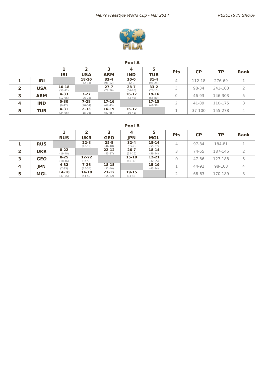

|   |            |                        |                       | 3                      |                       |                        | <b>Pts</b> |           |           |                |
|---|------------|------------------------|-----------------------|------------------------|-----------------------|------------------------|------------|-----------|-----------|----------------|
|   |            | <b>IRI</b>             | <b>USA</b>            | <b>ARM</b>             | <b>IND</b>            | <b>TUR</b>             |            | <b>CP</b> | <b>TP</b> | <b>Rank</b>    |
|   | IRI        |                        | 18-10<br>$(42-33)$    | $33 - 4$<br>$(96-12)$  | $30 - 0$<br>$(42-0)$  | $31 - 4$<br>$(96-24)$  | 4          | 112-18    | 276-69    |                |
| 2 | <b>USA</b> | $10 - 18$<br>$(33-42)$ |                       | $27 - 7$<br>$(78-26)$  | $28 - 7$<br>$(54-20)$ | $33-2$<br>$(76-15)$    |            | 98-34     | 241-103   |                |
|   | <b>ARM</b> | $4 - 33$<br>$(12-96)$  | $7 - 27$<br>$(26-78)$ |                        | 16-17<br>$(43-49)$    | 19-16<br>$(65-80)$     |            | 46-93     | 146-303   |                |
| 4 | <b>IND</b> | $0 - 30$<br>$(0-42)$   | $7 - 28$<br>$(20-54)$ | 17-16<br>$(49-43)$     |                       | $17 - 15$<br>$(41-36)$ |            | 41-89     | 110-175   | 3              |
|   | <b>TUR</b> | $4 - 31$<br>$(24-96)$  | $2 - 33$<br>$(15-76)$ | $16-19$<br>$(80 - 65)$ | 15-17<br>$(36-41)$    |                        |            | 37-100    | 155-278   | $\overline{4}$ |

**Pool B**

|                         |            | 3                     |                       | 5                      | <b>Pts</b>             | <b>CP</b>              | <b>TP</b> | <b>Rank</b> |         |   |
|-------------------------|------------|-----------------------|-----------------------|------------------------|------------------------|------------------------|-----------|-------------|---------|---|
|                         |            | <b>RUS</b>            | <b>UKR</b>            | <b>GEO</b>             | <b>JPN</b>             | <b>MGL</b>             |           |             |         |   |
|                         | <b>RUS</b> |                       | $22 - 8$<br>$(48-19)$ | $25 - 8$<br>$(46-18)$  | $32 - 4$<br>$(35-7)$   | $18 - 14$<br>$(55-37)$ | 4         | 97-34       | 184-81  |   |
|                         | <b>UKR</b> | $8 - 22$<br>$(19-48)$ |                       | $22 - 12$<br>$(55-37)$ | $26 - 7$<br>$(54-16)$  | $18 - 14$<br>$(59-44)$ |           | 74-55       | 187-145 |   |
|                         | <b>GEO</b> | $8 - 25$<br>$(18-46)$ | 12-22<br>$(37-55)$    |                        | $15 - 18$<br>$(40-32)$ | $12 - 21$<br>$(32-55)$ |           | 47-86       | 127-188 | כ |
| $\overline{\mathbf{4}}$ | <b>JPN</b> | 4-32<br>$(7 - 35)$    | $7 - 26$<br>$(16-54)$ | $18 - 15$<br>$(32-40)$ |                        | $15-19$<br>$(43-34)$   |           | 44-92       | 98-163  | 4 |
| 5                       | <b>MGL</b> | 14-18<br>$(37-55)$    | 14-18<br>$(44-59)$    | $21 - 12$<br>$(55-32)$ | 19-15<br>$(34-43)$     |                        |           | 68-63       | 170-189 |   |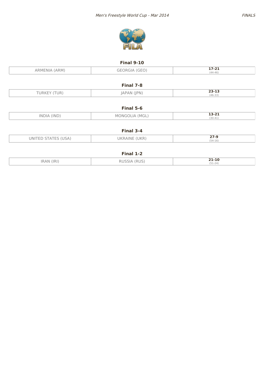



### **Final 9-10**

| ARM.<br>— UNIA Leem<br>. | -- --<br>╶∠∸   |
|--------------------------|----------------|
|                          | (AA)<br>$\sim$ |

|            | Final 7-8           |                             |
|------------|---------------------|-----------------------------|
| UR'<br>UK) | IPN'                | <b>CCCC</b><br><b>23-T3</b> |
|            | יור∕ ור<br>$\cdots$ | $(46 - 33)$                 |

| Final 5-6   |                                      |                                                                                              |  |  |  |  |  |  |  |  |
|-------------|--------------------------------------|----------------------------------------------------------------------------------------------|--|--|--|--|--|--|--|--|
| INDIA (IND) | 'MGL,<br>MONGO<br>$\cap$ in $\Delta$ | $13 - 21$<br>the contract of the contract of the contract of the contract of the contract of |  |  |  |  |  |  |  |  |
|             |                                      | $(30-41)$                                                                                    |  |  |  |  |  |  |  |  |

| Final 3-4           |                         |           |  |  |  |  |  |  |  |  |
|---------------------|-------------------------|-----------|--|--|--|--|--|--|--|--|
| UNITED STATES (USA) | (UKR)<br><b>JKRAINE</b> | $27-9$    |  |  |  |  |  |  |  |  |
|                     |                         | $(54-16)$ |  |  |  |  |  |  |  |  |

| IRAN (IRI) | DUCCIA (DUC)<br>ו ר | $21 - 10$        |
|------------|---------------------|------------------|
| 11 V J J A | へしこ<br>nuJ.         | (5121)<br>151-24 |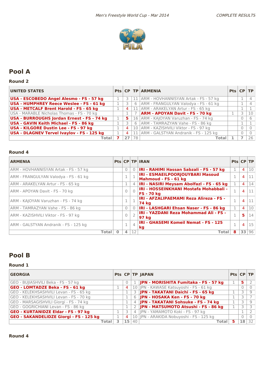

### **Round 2**

| <b>UNITED STATES</b>                              |                |                 | <b>Pts CP TP ARMENIA</b>                  | $Pts$ $CP$ $TP$ |    |
|---------------------------------------------------|----------------|-----------------|-------------------------------------------|-----------------|----|
| USA - ESCOBEDO Angel Alesmo - FS - 57 kg          |                |                 | 11 ARM - HOVHANNISYAN Artak - FS - 57 kg  |                 |    |
| <b>USA - HUMPHREY Reece Weslee - FS - 61 kg</b>   |                |                 | 6   ARM - FRANGULYAN Valodya - FS - 61 kg |                 |    |
| <b>USA - METCALF Brent Harold - FS - 65 kg</b>    | .4             |                 | 11   ARM - ARAKELYAN Artur - FS - 65 kg   |                 |    |
| USA - MARABLE Nicholas Thomas - FS - 70 kg        |                |                 | <b>ARM - APOYAN Davit - FS - 70 kg</b>    |                 | 10 |
| USA - BURROUGHS Jordan Ernest - FS - 74 kg        | 5.             |                 | 16 ARM - KAJOYAN Varuzhan - FS - 74 kg    |                 |    |
| USA - GAVIN Keith Michael - FS - 86 kg            |                | 6               | ARM - TAMRAZYAN Vahe - FS - 86 kg         |                 |    |
| <b>USA - KILGORE Dustin Lee - FS - 97 kg</b>      | $\overline{4}$ | 10 <sup>1</sup> | ARM - KAZISHVILI Viktor - FS - 97 kg      |                 |    |
| <b>USA - DLAGNEV Tervel Ivaylov - FS - 125 kg</b> | $+4$           |                 | 11 ARM - GALSTYAN Andranik - FS - 125 kg  |                 |    |
| Total l                                           | 27             | 78              | Total                                     |                 | 26 |

### **Round 4**

| <b>ARMENIA</b>                        |              |                   | <b>Pts CP TP IRAN</b>                                              | Pts CP TP    |                |    |
|---------------------------------------|--------------|-------------------|--------------------------------------------------------------------|--------------|----------------|----|
| ARM - HOVHANNISYAN Artak - FS - 57 kg | $\bigcap$    | $\Omega$          | IRI - RAHIMI Hassan Sabzali - FS - 57 kg                           |              | 4              | 10 |
| ARM - FRANGULYAN Valodya - FS - 61 kg |              |                   | IRI - ESMAEILPOORJOUYBARI Masoud<br>Mahmoud - FS - 61 kg           | 1            | 4              | 11 |
| ARM - ARAKELYAN Artur - FS - 65 kg    | 1            | 4                 | IRI - NASIRI Meysam Abolfazi - FS - 65 kg                          | 1            | 4              | 14 |
| ARM - APOYAN Davit - FS - 70 kg       |              | $\bigcap$         | <b>IRI - HOSSEINKHANI Mostafa Mohabbali -</b><br><b>FS - 70 kg</b> | $\mathbf{1}$ | $\overline{4}$ | 11 |
| ARM - KAJOYAN Varuzhan - FS - 74 kg   |              |                   | IRI - AFZALIPAEMAMI Reza Alireza - FS -<br>74 kg                   | $\mathbf{1}$ | 4              |    |
| ARM - TAMRAZYAN Vahe - FS - 86 kg     | $\mathbf{0}$ | $\Omega$          | <b>IRI - LASHGARI Ehsan Naser - FS - 86 kg</b>                     | 1            | $\overline{4}$ | 10 |
| ARM - KAZISHVILI Viktor - FS - 97 kg  |              |                   | <b>IRI - YAZDANI Reza Mohammad Ali - FS -</b><br>97 kg             | $\mathbf{1}$ | 5              | 14 |
| ARM - GALSTYAN Andranik - FS - 125 kg |              | $\overline{4}$    | IRI - GHASEMI Komeil Nemat - FS - 125<br>kg                        | $\mathbf{1}$ | $\overline{4}$ | 15 |
| <b>Total</b>                          | 4            | $12 \overline{ }$ | Total                                                              | 8            | 33             | 96 |

## **Pool B**

#### **Round 1**

| <b>GEORGIA</b>                                 |                 |                | Pts   CP   TP   JAPAN                      | $Pts$ $CP$ $TP$ |   |         |
|------------------------------------------------|-----------------|----------------|--------------------------------------------|-----------------|---|---------|
| GEO - BUJIASHVILI Beka - FS - 57 kg            |                 |                | JPN - MORISHITA Fumitaka - FS - 57 kg      |                 | 5 |         |
| <b>GEO - LOMTADZE Beka - FS - 61 kg</b>        | -4              |                | 10 JPN - KAWASE Katsuyoshi - FS - 61 kg    |                 |   |         |
| GEO - KELEKHSASHVILI Levan - FS - 65 kg        |                 | 3              | JPN - TAKATANI Daichi - FS - 65 kg         |                 |   |         |
| GEO - KELEKHSASHVILI Levan - FS - 70 kg        |                 |                | 6 JPN - HOSAKA Ken - FS - 70 kg            |                 |   |         |
| GEO - MARSAGISHVILI Giorgi - FS - 74 kg        |                 | $\overline{4}$ | JPN - TAKATANI Sohsuke - FS - 74 kg        |                 |   |         |
| GEO - GOGRICHIANI Levan - FS - 86 kg           |                 |                | JPN - MATSUMOTO Atsushi - FS - 86 kg       |                 |   |         |
| <b>GEO - KURTANIDZE Eldar - FS - 97 kg</b>     |                 | 4 <sup>1</sup> | JPN - YAMAMOTO Koki - FS - 97 kg           |                 |   |         |
| <b>GEO - SAKANDELIDZE Giorgi - FS - 125 kg</b> | $\overline{4}$  |                | 10   JPN - ARAKIDA Nobuyoshi - FS - 125 kg |                 |   |         |
| <b>Total</b> l                                 | 15 <sub>1</sub> | 40             | Total                                      |                 |   | $18$ 32 |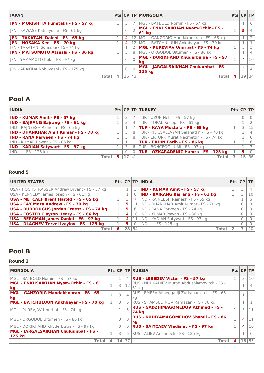| <b>IAPAN</b>                          |       |                |           | <b>Pts CP TP MONGOLIA</b>                           | Pts CP TP |                 |    |
|---------------------------------------|-------|----------------|-----------|-----------------------------------------------------|-----------|-----------------|----|
| JPN - MORISHITA Fumitaka - FS - 57 kg |       | 3              |           | MGL - BATBOLD Nomin - FS - 57 kg                    |           |                 | 6  |
| IPN - KAWASE Katsuyoshi - FS - 61 kg  |       |                |           | <b>MGL - ENKHSAIKHAN Nyam-Ochir - FS -</b><br>61 kg | 1<br>÷.   | 5               |    |
| JPN - TAKATANI Daichi - FS - 65 kg    |       | $\overline{4}$ |           | 12   MGL - GANZORIG Mandakhnaran - FS - 65 kg       |           |                 |    |
| JPN - HOSAKA Ken - FS - 70 kg         |       | 4              |           | 12   MGL - BATCHULUUN Ankhbayar - FS - 70 kg        |           |                 |    |
| JPN - TAKATANI Sohsuke - FS - 74 kg   |       |                |           | MGL - PUREVJAV Unurbat - FS - 74 kg                 |           |                 |    |
| JPN - MATSUMOTO Atsushi - FS - 86 kg  |       | 3              | 8         | MGL - ORGODOL Uitumen - FS - 86 kg                  |           |                 |    |
| JPN - YAMAMOTO Koki - FS - 97 kg      |       |                | $\bigcap$ | MGL - DORJKHAND Khuderbulga - FS - 97<br>kg         |           | $\overline{4}$  | 10 |
| JPN - ARAKIDA Nobuyoshi - FS - 125 kg |       |                | $\bigcap$ | MGL - JARGALSAIKHAN Chuluunbat - FS -<br>125 kg     | 1         |                 | 4  |
|                                       | Total | 15             | 43        | Total                                               | 4         | 19 <sup>1</sup> | 34 |

| <b>INDIA</b>                                  |         |          | Pts CP TP TURKEY                              | $Pts$ $CP$ $TP$ |    |    |
|-----------------------------------------------|---------|----------|-----------------------------------------------|-----------------|----|----|
| <b>IND - KUMAR Amit - FS - 57 kg</b>          |         |          | TUR - UZUN Nebi - FS - 57 kg                  |                 |    |    |
| <b>IND - BAJRANG Bajrang - FS - 61 kg</b>     | 3       |          | 4 TUR - TOPAL Recep - FS - 61 kg              |                 |    |    |
| IND - RAJNEESH Rajnesh - FS - 65 kg           |         |          | <b>TUR - KAYA Mustafa - FS - 65 kg</b>        |                 |    | 15 |
| <b>IND - DHANKHAR Amit Kumar - FS - 70 kg</b> |         |          | 8 TUR - KILICSALLAYAN Selahattin - FS - 70 kg |                 |    |    |
| <b>IND - RANA Parveen - FS - 74 kg</b>        |         |          | 8   TUR - ERTURK Murat Necmettin - FS - 74 kg |                 |    |    |
| IND - KUMAR Pawan - FS - 86 kg                |         |          | <b>TUR - ERDIN Fatih - FS - 86 kg</b>         |                 |    |    |
| <b>IND - KADIAN Satywart - FS - 97 kg</b>     | 3       | 6 I      | TUR - BONCEOGLU Ali - FS - 97 kg              |                 |    |    |
| IND - - - FS - 125 kg                         | $\circ$ | $\Omega$ | <b>TUR - OZKARADENIZ Hamza - FS - 125 kg</b>  |                 | 5  |    |
| <b>Total</b>                                  | 17      | 141.     | Total                                         |                 | 15 | 36 |

#### **Round 5**

| <b>UNITED STATES</b>                              |   |                 |          | Pts   CP   TP   INDIA                       | Pts CP TP |   |    |
|---------------------------------------------------|---|-----------------|----------|---------------------------------------------|-----------|---|----|
| USA - HOCHSTRASSER Andrew Bryant - FS - 57 kg     |   |                 |          | 3 <b>IND - KUMAR Amit - FS - 57 kg</b>      |           | 3 |    |
| USA - KENNEDY James Joseph - FS - 61 kg           |   |                 |          | 6 <b>IND - BAJRANG Bajrang - FS - 61 kg</b> |           |   | 10 |
| <b>USA - METCALF Brent Harold - FS - 65 kg</b>    |   |                 |          | IND - RAJNEESH Rajnesh - FS - 65 kg         |           |   | 6  |
| USA - FAY Moza Andrew - FS - 70 kg                |   | 5               |          | 11 IND - DHANKHAR Amit Kumar - FS - 70 kg   |           |   |    |
| USA - BURROUGHS Jordan Ernest - FS - 74 kg        |   | 5.              |          | 6   IND - RANA Parveen - FS - 74 kg         |           |   |    |
| USA - FOSTER Clayton Henry - FS - 86 kg           |   | 4               |          | 10 IND - KUMAR Pawan - FS - 86 kg           |           |   |    |
| USA - BERGMAN James Daniel - FS - 97 kg           |   | 4               | 11       | IND - KADIAN Satywart - FS - 97 kg          |           |   |    |
| <b>USA - DLAGNEV Tervel Ivaylov - FS - 125 kg</b> |   | 5.              | $\Omega$ | IND - - - FS - 125 kg                       |           |   |    |
| Total                                             | 6 | 28 <sup>1</sup> | 54       | Total                                       |           |   |    |

# **Pool B**

| <b>MONGOLIA</b>                                        |   |          |                | <b>Pts CP TP RUSSIA</b>                               | <b>Pts CP TP</b> |                 |    |
|--------------------------------------------------------|---|----------|----------------|-------------------------------------------------------|------------------|-----------------|----|
| MGL - BATBOLD Nomin - FS - 57 kg                       |   |          |                | 4   RUS - LEBEDEV Victor - FS - 57 kg                 |                  | 3               | 10 |
| MGL - ENKHSAIKHAN Nyam-Ochir - FS - 61<br>kg           |   | 3        | 12             | RUS - NUHKADIEV Murad Abdusalamovitch - FS -<br>61 kg |                  |                 |    |
| <b>MGL - GANZORIG Mandakhnaran - FS - 65</b><br>kg     |   | 3        | $\overline{4}$ | RUS - EMEEV Alibeggadji Zurkanaevitch - FS - 65<br>Кq |                  |                 |    |
| MGL - BATCHULUUN Ankhbayar - FS - 70 kg                |   | 3        | 6              | RUS - SHAMSUDINOV Ramazan - FS - 70 kg                |                  |                 |    |
| MGL - PUREVIAV Unurbat - FS - 74 kg                    |   |          | 5              | <b>RUS - GADZHIMAGOMEDOV Akhmed - FS -</b><br>74 ka   |                  |                 | 11 |
| MGL - ORGODOL Uitumen - FS - 86 kg                     |   | $\Omega$ | $\bigcap$      | <b>RUS - KUDIYAMAGOMEDOV Shamil - FS - 86</b><br>kq   | 1                | 4               | 11 |
| MGL - DORJKHAND Khuderbulga - FS - 97 kg               |   | $\Omega$ |                | 0 RUS - BAITCAEV Vladislav - FS - 97 kg               |                  | 4               | 10 |
| MGL - JARGALSAIKHAN Chuluunbat - FS -<br><b>125 kg</b> |   | 3        |                | 6   RUS - ALIEV Arslanbek - FS - 125 kg               |                  |                 | 6  |
| <b>Total</b>                                           | 4 | 14       | 37             | Total                                                 | 4                | 18 <sup>1</sup> | 55 |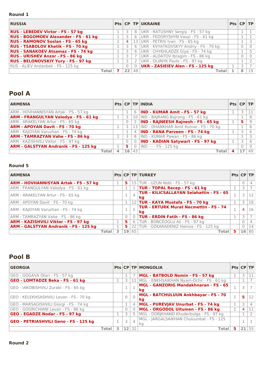### **Round 1**

| <b>RUSSIA</b>                              |                |            | Pts CP TP UKRAINE                        | $Pts$ $CP$ $TP$ |    |
|--------------------------------------------|----------------|------------|------------------------------------------|-----------------|----|
| <b>RUS - LEBEDEV Victor - FS - 57 kg</b>   |                | 8          | UKR - RATUSHNY Sergiy - FS - 57 kg       |                 |    |
| RUS - BOGOMOEV Alexander - FS - 61 kg      |                | 6          | UKR - FEDORYSHYN Vasyl - FS - 61 kg      |                 |    |
| <b>RUS - RAMONOV Soslan - FS - 65 kg</b>   | $\overline{4}$ | 13         | UKR - PETRIV Ivan - FS - 65 kg           |                 |    |
| <b>RUS - TSABOLOV Khetik - FS - 70 kg</b>  |                | 6          | UKR - KVYATKOVSKYY Andriy - FS - 70 kg   |                 |    |
| <b>RUS - SANAKOEV Atsamaz - FS - 74 kg</b> |                | 6          | UKR - CHYKHLADZE Giya - FS - 74 kg       |                 |    |
| <b>RUS - URISHEV Anzor - FS - 86 kg</b>    |                |            | UKR - ALDATOV Ibragim - FS - 86 kg       |                 |    |
| <b>RUS - BELONOVSKIY Yury - FS - 97 kg</b> |                | 2          | UKR - OLIINYK Pavlo - FS - 97 kg         |                 |    |
| RUS - ALIEV Arslanbek - FS - 125 kg        |                | $\bigcirc$ | <b>UKR - ZASIEIEV Alen - FS - 125 kg</b> |                 |    |
| <b>Total</b>                               | 22             | 48         | Total                                    |                 | 19 |

# **Pool A**

| <b>ARMENIA</b>                               |    |                | $Pts$ CP TP INDIA                          | Pts CP TP |   |    |
|----------------------------------------------|----|----------------|--------------------------------------------|-----------|---|----|
| ARM - HOVHANNISYAN Artak - FS - 57 kg        |    |                | 6   IND - KUMAR Amit - FS - 57 kg          |           |   |    |
| <b>ARM - FRANGULYAN Valodya - FS - 61 kg</b> |    |                | 10 IND - BAJRANG Bajrang - FS - 61 kg      |           |   |    |
| ARM - ARAKELYAN Artur - FS - 65 kg           |    | 2              | <b>IND - RAJNEESH Rajnesh - FS - 65 kg</b> |           | 5 | 9  |
| <b>ARM - APOYAN Davit - FS - 70 kg</b>       |    |                | 13 IND - DHANKHAR Amit Kumar - FS - 70 kg  |           |   |    |
| ARM - KAJOYAN Varuzhan - FS - 74 kg          |    |                | 4 <b>IND - RANA Parveen - FS - 74 kg</b>   |           |   |    |
| <b>ARM - TAMRAZYAN Vahe - FS - 86 kg</b>     |    |                | 8   IND - KUMAR Pawan - FS - 86 kg         |           |   |    |
| ARM - KAZISHVILI Viktor - FS - 97 kg         |    | $\overline{0}$ | <b>IND - KADIAN Satywart - FS - 97 kg</b>  |           |   |    |
| <b>ARM - GALSTYAN Andranik - FS - 125 kg</b> | 5. | $\overline{0}$ | IND - - - FS - 125 kg                      |           |   |    |
| Total                                        | 16 | 43             | Total                                      |           |   | 49 |

### **Round 5**

| <b>ARMENIA</b>                               |    |                | <b>Pts CP TP TURKEY</b>                               | Pts CP TP |          |    |
|----------------------------------------------|----|----------------|-------------------------------------------------------|-----------|----------|----|
| <b>ARM - HOVHANNISYAN Artak - FS - 57 kg</b> | 5  |                | 15 TUR - UZUN Nebi - FS - 57 kg                       |           | $\Omega$ | 4  |
| ARM - FRANGULYAN Valodya - FS - 61 kg        |    |                | <b>TUR - TOPAL Recep - FS - 61 kg</b>                 |           |          |    |
| ARM - ARAKELYAN Artur - FS - 65 kg           |    | $\overline{4}$ | <b>TUR - KILICSALLAYAN Selahattin - FS - 65</b><br>kg |           |          | 12 |
| ARM - APOYAN Davit - FS - 70 kg              |    |                | 12 TUR - KAYA Mustafa - FS - 70 kg                    |           |          | 16 |
| ARM - KAJOYAN Varuzhan - FS - 74 kg          |    |                | <b>TUR - ERTURK Murat Necmettin - FS - 74</b><br>kg   |           | 4        | 16 |
| ARM - TAMRAZYAN Vahe - FS - 86 kg            | 0  |                | <b>TUR - ERDIN Fatih - FS - 86 kg</b>                 |           |          |    |
| <b>ARM - KAZISHVILI Viktor - FS - 97 kg</b>  | 5. | 6              | TUR - BONCEOGLU Ali - FS - 97 kg                      |           | $\Omega$ |    |
| <b>ARM - GALSTYAN Andranik - FS - 125 kg</b> | 5. |                | 22 TUR - OZKARADENIZ Hamza - FS - 125 kg              |           |          | 14 |
| Total                                        |    | 19 65          | Tota                                                  |           | 16       | 80 |

# **Pool B**

| <b>GEORGIA</b>                          |              |    |    | <b>Pts CP TP MONGOLIA</b>                       | Pts CP TP |   |    |
|-----------------------------------------|--------------|----|----|-------------------------------------------------|-----------|---|----|
| GEO - GOGAVA Otari - FS - 57 kg         |              |    |    | MGL - BATBOLD Nomin - FS - 57 kg                |           |   |    |
| GEO - LOMTADZE Beka - FS - 61 kg        |              | 3  |    | 11   MGL - ENKHSAIKHAN Nyam-Ochir - FS - 61 kg  |           |   |    |
| GEO - IAKOBISHVILI Zurabi - FS - 65 kg  |              |    |    | MGL - GANZORIG Mandakhnaran - FS - 65<br>kg     |           |   |    |
| GEO - KELEKHSASHVILI Levan - FS - 70 kg |              |    |    | MGL - BATCHULUUN Ankhbayar - FS - 70<br>kg      |           | 5 | 12 |
| GEO - MARSAGISHVILI Giorgi - FS - 74 kg |              |    | 4  | MGL - PUREVJAV Unurbat - FS - 74 kg             |           |   |    |
| GEO - GOGRICHIANI Levan - FS - 86 kg    |              | 0  |    | MGL - ORGODOL Uitumen - FS - 86 kg              |           |   |    |
| GEO - EGADZE Nodar - FS - 97 kg         |              | 3  |    | 5   MGL - DORJKHAND Khuderbulga - FS - 97 kg    |           |   |    |
| GEO - PETRIASHVILI Geno - FS - 125 kg   |              | 3  | 4  | MGL - JARGALSAIKHAN Chuluunbat - FS - 125<br>kq |           |   |    |
|                                         | <b>Total</b> | 12 | 32 | Total                                           | 5         |   | 55 |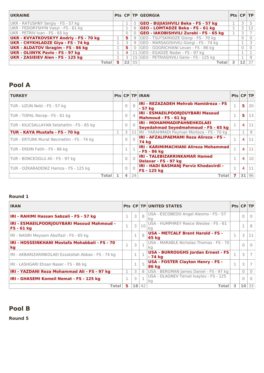| <b>UKRAINE</b>                                |   |          | <b>Pts CP TP GEORGIA</b>                 | $Pts$ $CP$ $TP$ |  |
|-----------------------------------------------|---|----------|------------------------------------------|-----------------|--|
| UKR - RATUSHNY Sergiy - FS - 57 kg            |   | 5        | GEO - BUJIASHVILI Beka - FS - 57 kg      |                 |  |
| UKR - FEDORYSHYN Vasyl - FS - 61 kg           |   | 6        | <b>GEO - LOMTADZE Beka - FS - 61 kg</b>  |                 |  |
| UKR - PETRIV Ivan - FS - 65 kg                |   | $\Omega$ | GEO - IAKOBISHVILI Zurabi - FS - 65 kg   |                 |  |
| <b>UKR - KVYATKOVSKYY Andriy - FS - 70 kg</b> | 5 |          | 9 GEO - TSUTSKIRIDZE Giorgi - FS - 70 kg |                 |  |
| <b>UKR - CHYKHLADZE Giya - FS - 74 kg</b>     |   | 9        | GEO - MARSAGISHVILI Giorgi - FS - 74 kg  |                 |  |
| <b>UKR - ALDATOV Ibragim - FS - 86 kg</b>     | 5 | $\Omega$ | GEO - GOGRICHIANI Levan - FS - 86 kg     |                 |  |
| <b>UKR - OLIINYK Pavlo - FS - 97 kg</b>       | 4 |          | GEO - EGADZE Nodar - FS - 97 kg          |                 |  |
| UKR - ZASIEIEV Alen - FS - 125 kg             |   |          | 15 GEO - PETRIASHVILI Geno - FS - 125 kg |                 |  |
| Totall                                        |   | 22 55    | Total                                    |                 |  |

| <b>TURKEY</b>                               |              |                |                | <b>Pts CP TP IRAN</b>                                                      |              |                | Pts CP TP |
|---------------------------------------------|--------------|----------------|----------------|----------------------------------------------------------------------------|--------------|----------------|-----------|
| TUR - UZUN Nebi - FS - 57 kg                |              | $\Omega$       | 8              | <b>IRI - REZAZADEH Mehrab Hamidreza - FS</b><br>- 57 ka                    | $\mathbf{1}$ | -5.            | 20        |
| TUR - TOPAL Recep - FS - 61 kg              |              | $\Omega$       | $\overline{4}$ | IRI - ESMAEILPOORJOUYBARI Masoud<br>Mahmoud - FS - 61 kg                   | 1            | 5.             | 13        |
| TUR - KILICSALLAYAN Selahattin - FS - 65 kg |              | $\Omega$       | $\bigcap$      | <b>IRI - MOHAMMADIPAHNEHKOLAEI</b><br>Seyedahmad Seyedmahmoud - FS - 65 kg | 1            | $\overline{4}$ | 11        |
| TUR - KAYA Mustafa - FS - 70 kg             |              | 3              |                | 11   IRI - YARAHMADI Peyman Morteza - FS - 70 kg                           |              |                | 9         |
| TUR - ERTURK Murat Necmettin - FS - 74 kg   |              | $\Omega$       | $\bigcap$      | <b>IRI - AFZALIPAEMAMI Reza Alireza - FS -</b><br><b>74 kg</b>             | 1            | $\overline{4}$ | 11        |
| TUR - ERDIN Fatih - FS - 86 kg              |              |                |                | IRI - KARIMIMACHIANI Alireza Mohammad<br>- FS - 86 kg                      | $\mathbf{1}$ | $\overline{4}$ | 11        |
| TUR - BONCEOGLU Ali - FS - 97 kg            |              | $\Omega$       | $\bigcap$      | <b>IRI - TALEBIZARRINKAMAR Hamed</b><br>Delavar - FS - 97 kg               | $\mathbf{1}$ | $\overline{4}$ | 10        |
| TUR - OZKARADENIZ Hamza - FS - 125 kg       |              | $\Omega$       | $\bigcap$      | IRI - HADI BASMANJ Parviz Khodavirdi -<br><b>FS - 125 kg</b>               | $\mathbf{1}$ | 4              | 11        |
|                                             | <b>Total</b> | $\overline{a}$ | 24             | Total                                                                      |              | 31             | 96        |

### **Round 1**

| <b>IRAN</b>                                                |    |                 |    | <b>Pts CP TP UNITED STATES</b>                           | Pts CP TP |                 |                |
|------------------------------------------------------------|----|-----------------|----|----------------------------------------------------------|-----------|-----------------|----------------|
| IRI - RAHIMI Hassan Sabzali - FS - 57 kg                   |    | 3               | 8  | USA - ESCOBEDO Angel Alesmo - FS - 57<br>ka              |           |                 | $\Omega$       |
| IRI - ESMAEILPOORJOUYBARI Masoud Mahmoud -<br>$FS - 61$ kg |    | 3               | 10 | USA - HUMPHREY Reece Weslee - FS - 61<br>ka              |           |                 | 8              |
| IRI - NASIRI Meysam Abolfazl - FS - 65 kg                  |    | 1               | 8  | <b>USA - METCALF Brent Harold - FS -</b><br>65 kg        | 1         |                 | 11             |
| IRI - HOSSEINKHANI Mostafa Mohabbali - FS - 70<br>kg       |    | 3               |    | USA - MARABLE Nicholas Thomas - FS - 70<br>ka            |           |                 | 0              |
| IRI - AKBARIZARINKOLAEI Ezzatollah Abbas - FS - 74 kg      |    |                 |    | <b>USA - BURROUGHS Jordan Ernest - FS</b><br>- 74 kg     |           |                 | $\overline{7}$ |
| IRI - LASHGARI Ehsan Naser - FS - 86 kg                    |    | $\mathbf 1$     | 5  | <b>USA - FOSTER Clayton Henry - FS -</b><br><b>86 kg</b> |           | 3               |                |
| IRI - YAZDANI Reza Mohammad Ali - FS - 97 kg               |    | 3               | 8  | USA - BERGMAN James Daniel - FS - 97 kg                  |           | $\Omega$        |                |
| IRI - GHASEMI Komeil Nemat - FS - 125 kg                   |    | $\overline{3}$  |    | USA - DLAGNEV Tervel Ivaylov - FS - 125<br>ka            |           |                 | $\Omega$       |
| Total                                                      | 5. | 18 <sup>1</sup> | 42 | Total                                                    | 3         | 10 <sup>1</sup> | 33             |

## **Pool B**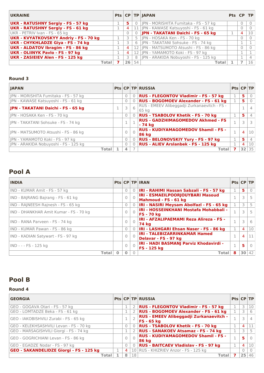| <b>UKRAINE</b>                                |    |          | Pts $ CP TP $ JAPAN                       | Pts CP TP |   |    |
|-----------------------------------------------|----|----------|-------------------------------------------|-----------|---|----|
| UKR - RATUSHNY Sergiy - FS - 57 kg            | 5. | $\circ$  | JPN - MORISHITA Fumitaka - FS - 57 kg     |           |   |    |
| <b>UKR - RATUSHNY Sergiy - FS - 61 kg</b>     | 4  |          | 11   JPN - KAWASE Katsuyoshi - FS - 61 kg |           |   |    |
| UKR - PETRIV Ivan - FS - 65 kg                |    | $\Omega$ | JPN - TAKATANI Daichi - FS - 65 kg        |           | 4 | 10 |
| <b>UKR - KVYATKOVSKYY Andriy - FS - 70 kg</b> |    | 5        | JPN - HOSAKA Ken - FS - 70 kg             |           | U |    |
| <b>UKR - CHYKHLADZE Giya - FS - 74 kg</b>     |    | 6        | JPN - TAKATANI Sohsuke - FS - 74 kg       |           |   |    |
| <b>UKR - ALDATOV Ibragim - FS - 86 kg</b>     | 4  |          | 12   JPN - MATSUMOTO Atsushi - FS - 86 kg |           |   |    |
| <b>UKR - OLIINYK Pavlo - FS - 97 kg</b>       | 4  |          | 12 JPN - YAMAMOTO Koki - FS - 97 kg       |           |   |    |
| UKR - ZASIEIEV Alen - FS - 125 kg             |    | 8        | IPN - ARAKIDA Nobuyoshi - FS - 125 kg     |           |   |    |
| Total                                         | 26 | 54       | Total                                     |           |   | 16 |

### **Round 3**

| <b>IAPAN</b>                          |              |               |           | <b>Pts CP TP RUSSIA</b>                                    | Pts CP TP |                |          |
|---------------------------------------|--------------|---------------|-----------|------------------------------------------------------------|-----------|----------------|----------|
| JPN - MORISHITA Fumitaka - FS - 57 kg |              | $\Omega$      |           | 0 RUS - FLEGONTOV Vladimir - FS - 57 kg                    |           | 5              | $\Omega$ |
| JPN - KAWASE Katsuyoshi - FS - 61 kg  |              |               |           | 0   RUS - BOGOMOEV Alexander - FS - 61 kg                  |           | 5              |          |
| JPN - TAKATANI Daichi - FS - 65 kg    |              | 3             | 6         | RUS - EMEEV Alibeggadji Zurkanaevitch - FS -<br>65 kg      |           |                |          |
| JPN - HOSAKA Ken - FS - 70 kg         |              | $\Omega$      |           | 0 RUS - TSABOLOV Khetik - FS - 70 kg                       |           | 5              |          |
| JPN - TAKATANI Sohsuke - FS - 74 kg   |              | $\mathcal{A}$ |           | <b>RUS - GADZHIMAGOMEDOV Akhmed - FS</b><br>- 74 ka        |           |                |          |
| JPN - MATSUMOTO Atsushi - FS - 86 kg  |              |               | $\bigcap$ | <b>RUS - KUDIYAMAGOMEDOV Shamil - FS -</b><br><b>86 kg</b> | 1         | $\overline{4}$ | 10       |
| JPN - YAMAMOTO Koki - FS - 97 kg      |              | $\Omega$      |           | 0 RUS - BELONOVSKIY Yury - FS - 97 kg                      |           | 5              |          |
| JPN - ARAKIDA Nobuyoshi - FS - 125 kg |              | $\Omega$      |           | 0 RUS - ALIEV Arslanbek - FS - 125 kg                      |           | $\overline{4}$ | 10       |
|                                       | <b>Total</b> | $\Delta$      |           | Total                                                      |           | 32             | 35       |

## **Pool A**

| <b>INDIA</b>                           |           |           | <b>Pts CP TP IRAN</b>                                              | Pts CP TP |                 |           |
|----------------------------------------|-----------|-----------|--------------------------------------------------------------------|-----------|-----------------|-----------|
| IND - KUMAR Amit - FS - 57 kg          | 0         | $\Omega$  | <b>IRI - RAHIMI Hassan Sabzali - FS - 57 kg</b>                    | 1         | 5.              |           |
| IND - BAJRANG Bajrang - FS - 61 kg     | $\bigcap$ |           | IRI - ESMAEILPOORJOUYBARI Masoud<br>Mahmoud - FS - 61 kg           | п.        |                 |           |
| IND - RAINEESH Rainesh - FS - 65 kg    | 0         |           | IRI - NASIRI Meysam Abolfazi - FS - 65 kg                          |           | 3               |           |
| IND - DHANKHAR Amit Kumar - FS - 70 kg | $\Omega$  |           | <b>IRI - HOSSEINKHANI Mostafa Mohabbali -</b><br><b>FS - 70 kg</b> | п         |                 |           |
| IND - RANA Parveen - FS - 74 kg        | $\Omega$  |           | IRI - AFZALIPAEMAMI Reza Alireza - FS -<br><b>74 kg</b>            | 1         | 3               | 6         |
| IND - KUMAR Pawan - FS - 86 kg         | $\circ$   |           | IRI - LASHGARI Ehsan Naser - FS - 86 kg                            | 1         | 4               | 10        |
| IND - KADIAN Satywart - FS - 97 kg     | $\Omega$  |           | <b>IRI - TALEBIZARRINKAMAR Hamed</b><br>Delavar - FS - 97 kg       | 1         | 4               | 11        |
| IND - - - FS - 125 kg                  | $\Omega$  | $\bigcap$ | IRI - HADI BASMANJ Parviz Khodavirdi -<br>FS - 125 kg              | 1         | -51             | $\bigcap$ |
| <b>Total</b>                           | $\Omega$  | $\bigcap$ | <b>Total</b>                                                       | 8         | 30 <sup>1</sup> | 42        |

## **Pool B**

| <b>GEORGIA</b>                          |                |        | <b>Pts CP TP RUSSIA</b>                                      |    | Pts CP TP |
|-----------------------------------------|----------------|--------|--------------------------------------------------------------|----|-----------|
| GEO - GOGAVA Otari - FS - 57 kg         |                |        | 2   RUS - FLEGONTOV Vladimir - FS - 57 kg                    |    | 10        |
| GEO - LOMTADZE Beka - FS - 61 kg        |                |        | 2   RUS - BOGOMOEV Alexander - FS - 61 kg                    |    | 6         |
| GEO - IAKOBISHVILI Zurabi - FS - 65 kg  |                |        | RUS - EMEEV Alibeggadji Zurkanaevitch -<br><b>FS - 65 kg</b> |    |           |
| GEO - KELEKHSASHVILI Levan - FS - 70 kg | $\mathbf{0}$   |        | 0 RUS - TSABOLOV Khetik - FS - 70 kg                         | 4  |           |
| GEO - MARSAGISHVILI Giorgi - FS - 74 kg |                |        | 2 RUS - SANAKOEV Atsamaz - FS - 74 kg                        |    |           |
| GEO - GOGRICHIANI Levan - FS - 86 kg    |                | $\cap$ | <b>RUS - KUDIYAMAGOMEDOV Shamil - FS -</b><br><b>86 kg</b>   | 5  |           |
| GEO - EGADZE Nodar - FS - 97 kg         | $\Omega$       |        | 0   RUS - BAITCAEV Vladislav - FS - 97 kg                    | 4  | 10        |
| GEO - SAKANDELIDZE Giorgi - FS - 125 kg | $\overline{4}$ |        | 10 RUS - KHIZRIEV Anzor - FS - 125 kg                        |    |           |
| Total                                   | 8              | 18     | Total                                                        | 25 | 46        |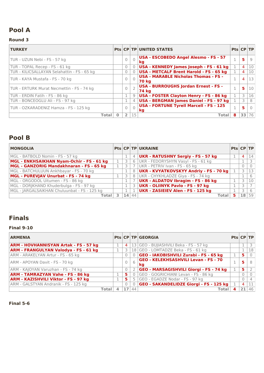### **Round 3**

| <b>TURKEY</b>                               |          |           | <b>Pts CP TP UNITED STATES</b>                              | Pts CP TP    |                |    |
|---------------------------------------------|----------|-----------|-------------------------------------------------------------|--------------|----------------|----|
| TUR - UZUN Nebi - FS - 57 kg                |          | $\bigcap$ | USA - ESCOBEDO Angel Alesmo - FS - 57<br>kq                 | q.           | 5              | 9  |
| TUR - TOPAL Recep - FS - 61 kg              | $\Omega$ |           | USA - KENNEDY James Joseph - FS - 61 kg                     |              | $\overline{4}$ | 10 |
| TUR - KILICSALLAYAN Selahattin - FS - 65 kg | $\Omega$ |           | <b>USA - METCALF Brent Harold - FS - 65 kg</b>              |              | $\overline{4}$ | 10 |
| TUR - KAYA Mustafa - FS - 70 kg             |          | $\bigcap$ | <b>USA - MARABLE Nicholas Thomas - FS -</b><br><b>70 kg</b> |              | 4              | 13 |
| TUR - ERTURK Murat Necmettin - FS - 74 kg   |          |           | USA - BURROUGHS Jordan Ernest - FS -<br>74 kg               | $\mathbf{1}$ | 5              | 10 |
| TUR - ERDIN Fatih - FS - 86 kg              |          | 9         | USA - FOSTER Clayton Henry - FS - 86 kg                     | 1            | 3              | 16 |
| TUR - BONCEOGLU Ali - FS - 97 kg            |          | 4         | USA - BERGMAN James Daniel - FS - 97 kg                     |              |                | 8  |
| TUR - OZKARADENIZ Hamza - FS - 125 kg       |          | $\bigcap$ | <b>USA - FORTUNE Tyrell Marcell - FS - 125</b><br>kg        | q.           | 5              |    |
| <b>Total</b>                                | 2        | 15        | Total                                                       | 8            | 33             | 76 |

## **Pool B**

| <b>MONGOLIA</b>                              |    |                | <b>Pts CP TP UKRAINE</b>                  | $Pts$ $CP$ $TP$ |                |    |
|----------------------------------------------|----|----------------|-------------------------------------------|-----------------|----------------|----|
| MGL - BATBOLD Nomin - FS - 57 kg             |    | $\overline{4}$ | UKR - RATUSHNY Sergiy - FS - 57 kg        |                 | $\overline{a}$ | 14 |
| MGL - ENKHSAIKHAN Nyam-Ochir - FS - 61 kg    |    | 6              | UKR - FEDORYSHYN Vasyl - FS - 61 kg       |                 |                |    |
| MGL - GANZORIG Mandakhnaran - FS - 65 kg     |    |                | UKR - PETRIV Ivan - FS - 65 kg            |                 |                |    |
| MGL - BATCHULUUN Ankhbayar - FS - 70 kg      |    | 8              | UKR - KVYATKOVSKYY Andriy - FS - 70 kg    |                 |                |    |
| MGL - PUREVJAV Unurbat - FS - 74 kg          |    | 8              | UKR - CHYKHLADZE Giya - FS - 74 kg        |                 |                |    |
| MGL - ORGODOL Uitumen - FS - 86 kg           |    |                | <b>UKR - ALDATOV Ibragim - FS - 86 kg</b> |                 |                | 10 |
| MGL - DORJKHAND Khuderbulga - FS - 97 kg     |    | 3              | UKR - OLIINYK Pavlo - FS - 97 kg          |                 |                |    |
| MGL - JARGALSAIKHAN Chuluunbat - FS - 125 kg |    |                | UKR - ZASIEIEV Alen - FS - 125 kg         |                 |                |    |
| Totall                                       | 14 | 44             | Total                                     | 5.              | 18             | 59 |

# **Finals**

## **Final 9-10**

| <b>ARMENIA</b>                               |   |                | <b>Pts CP TP GEORGIA</b>                          | $Pts$ $CP$ $TP$ |   |    |
|----------------------------------------------|---|----------------|---------------------------------------------------|-----------------|---|----|
| <b>ARM - HOVHANNISYAN Artak - FS - 57 kg</b> | 4 |                | 13 GEO - BUJIASHVILI Beka - FS - 57 kg            |                 |   |    |
| <b>ARM - FRANGULYAN Valodya - FS - 61 kg</b> | 3 |                | 18 GEO - LOMTADZE Beka - FS - 61 kg               |                 |   | 18 |
| ARM - ARAKELYAN Artur - FS - 65 kg           |   |                | GEO - IAKOBISHVILI Zurabi - FS - 65 kg            |                 | 5 |    |
| ARM - APOYAN Davit - FS - 70 kg              |   | 6              | <b>GEO - KELEKHSASHVILI Levan - FS - 70</b><br>ka |                 | 5 |    |
| ARM - KAJOYAN Varuzhan - FS - 74 kg          |   | $\overline{2}$ | <b>GEO - MARSAGISHVILI Giorgi - FS - 74 kg</b>    |                 | 5 |    |
| <b>ARM - TAMRAZYAN Vahe - FS - 86 kg</b>     | 5 |                | GEO - GOGRICHIANI Levan - FS - 86 kg              |                 |   |    |
| <b>ARM - KAZISHVILI Viktor - FS - 97 kg</b>  | 5 |                | GEO - EGADZE Nodar - FS - 97 kg                   |                 |   |    |
| ARM - GALSTYAN Andranik - FS - 125 kg        |   |                | <b>GEO - SAKANDELIDZE Giorgi - FS - 125 kg</b>    |                 | 4 |    |
| Total                                        |   | 44             | Tota                                              |                 |   | 46 |

#### **Final 5-6**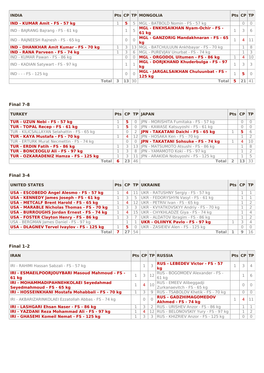| <b>INDIA</b>                                  |          |          | <b>Pts CP TP MONGOLIA</b>                          | Pts CP TP |                |          |
|-----------------------------------------------|----------|----------|----------------------------------------------------|-----------|----------------|----------|
| <b>IND - KUMAR Amit - FS - 57 kg</b>          | 5        | -5       | MGL - BATBOLD Nomin - FS - 57 kg                   |           | $\Omega$       |          |
| IND - BAJRANG Bajrang - FS - 61 kg            |          |          | MGL - ENKHSAIKHAN Nyam-Ochir - FS -<br>61 ka       |           |                | 6        |
| IND - RAJNEESH Rajnesh - FS - 65 kg           |          | $\Omega$ | <b>MGL - GANZORIG Mandakhnaran - FS - 65</b><br>kg | 1         | $\overline{4}$ | 11       |
| <b>IND - DHANKHAR Amit Kumar - FS - 70 kg</b> | 3        |          | 13   MGL - BATCHULUUN Ankhbayar - FS - 70 kg       |           |                | 8        |
| <b>IND - RANA Parveen - FS - 74 kg</b>        | 3        | 6        | MGL - PUREVJAV Unurbat - FS - 74 kg                |           |                | 3        |
| IND - KUMAR Pawan - FS - 86 kg                | $\Omega$ |          | MGL - ORGODOL Uitumen - FS - 86 kg                 |           | 4              | 10       |
| IND - KADIAN Satywart - FS - 97 kg            |          |          | MGL - DORJKHAND Khuderbulga - FS - 97<br>kq        |           |                | 3        |
| IND - - - FS - 125 kg                         |          |          | MGL - JARGALSAIKHAN Chuluunbat - FS -<br>125 kg    | 1         | 5              | $\Omega$ |
| <b>Total</b>                                  | 13       | 30       | Total                                              | 5         | 21             | 41       |

### **Final 7-8**

| <b>TURKEY</b>                               |   |    |                | Pts $ CP TP $ JAPAN                        | $Pts$ CP TP |   |    |
|---------------------------------------------|---|----|----------------|--------------------------------------------|-------------|---|----|
| TUR - UZUN Nebi - FS - 57 kg                |   | 5. |                | 0   JPN - MORISHITA Fumitaka - FS - 57 kg  |             |   |    |
| <b>TUR - TOPAL Recep - FS - 61 kg</b>       |   | 5. | $\overline{0}$ | JPN - KAWASE Katsuyoshi - FS - 61 kg       |             |   |    |
| TUR - KILICSALLAYAN Selahattin - FS - 65 kg |   |    |                | 2 JPN - TAKATANI Daichi - FS - 65 kg       |             | 5 |    |
| TUR - KAYA Mustafa - FS - 70 kg             |   | -4 |                | 12 JPN - HOSAKA Ken - FS - 70 kg           |             |   |    |
| TUR - ERTURK Murat Necmettin - FS - 74 kg   |   |    |                | 0 JPN - TAKATANI Sohsuke - FS - 74 kg      |             | 4 | 10 |
| TUR - ERDIN Fatih - FS - 86 kg              |   |    |                | 13 JPN - MATSUMOTO Atsushi - FS - 86 kg    |             |   | 8  |
| TUR - BONCEOGLU Ali - FS - 97 kg            |   |    |                | 8 JPN - YAMAMOTO Koki - FS - 97 kg         |             |   |    |
| TUR - OZKARADENIZ Hamza - FS - 125 kg       |   |    |                | 11   JPN - ARAKIDA Nobuyoshi - FS - 125 kg |             |   |    |
| Total                                       | 6 | 23 | 46             | Total                                      |             |   | 33 |

### **Final 3-4**

| <b>UNITED STATES</b>                              |                |                 | Pts CP TP UKRAINE                       | Pts CP TP |    |
|---------------------------------------------------|----------------|-----------------|-----------------------------------------|-----------|----|
| USA - ESCOBEDO Angel Alesmo - FS - 57 kg          | 4              | 11              | UKR - RATUSHNY Sergiy - FS - 57 kg      |           |    |
| USA - KENNEDY James Joseph - FS - 61 kg           |                | 5               | UKR - FEDORYSHYN Vasyl - FS - 61 kg     |           |    |
| <b>USA - METCALF Brent Harold - FS - 65 kg</b>    | 4              | 12              | UKR - PETRIV Ivan - FS - 65 kg          |           |    |
| <b>USA - MARABLE Nicholas Thomas - FS - 70 kg</b> |                | 3               | UKR - KVYATKOVSKYY Andriy - FS - 70 kg  |           |    |
| USA - BURROUGHS Jordan Ernest - FS - 74 kg        | $\overline{4}$ | 15 <sub>1</sub> | UKR - CHYKHLADZE Giya - FS - 74 kg      |           |    |
| <b>USA - FOSTER Clayton Henry - FS - 86 kg</b>    |                |                 | UKR - ALDATOV Ibragim - FS - 86 kg      |           |    |
| USA - BERGMAN James Daniel - FS - 97 kg           |                |                 | <b>UKR - OLIINYK Pavlo - FS - 97 kg</b> |           |    |
| <b>USA - DLAGNEV Tervel Ivaylov - FS - 125 kg</b> | 5.             |                 | UKR - ZASIEIEV Alen - FS - 125 kg       |           |    |
| Total                                             |                | 54              | Total                                   |           | 16 |

### **Final 1-2**

| <b>IRAN</b>                                                         |    |                |           | <b>Pts CP TP RUSSIA</b>                               | Pts CP TP |                |    |
|---------------------------------------------------------------------|----|----------------|-----------|-------------------------------------------------------|-----------|----------------|----|
| IRI - RAHIMI Hassan Sabzali - FS - 57 kg                            |    |                |           | <b>RUS - LEBEDEV Victor - FS - 57</b><br>kq           |           |                | 4  |
| IRI - ESMAEILPOORJOUYBARI Masoud Mahmoud - FS -<br>61 kg            |    | 3              | 12        | RUS - BOGOMOEV Alexander - FS -<br>61 kg              |           |                | 6  |
| IRI - MOHAMMADIPAHNEHKOLAEI Seyedahmad<br>Seyedmahmoud - FS - 65 kg |    | $\overline{4}$ | 10        | RUS - EMEEV Alibeggadji<br>Zurkanaevitch - FS - 65 kg |           |                |    |
| IRI - HOSSEINKHANI Mostafa Mohabbali - FS - 70 kg                   |    |                | 9         | RUS - TSABOLOV Khetik - FS - 70 kg                    |           |                |    |
| IRI - AKBARIZARINKOLAEI Ezzatollah Abbas - FS - 74 kg               |    |                | $\bigcap$ | <b>RUS - GADZHIMAGOMEDOV</b><br>Akhmed - FS - 74 kg   |           | $\overline{4}$ | 11 |
| IRI - LASHGARI Ehsan Naser - FS - 86 kg                             |    |                | 2         | RUS - URISHEV Anzor - FS - 86 kg                      |           |                |    |
| IRI - YAZDANI Reza Mohammad Ali - FS - 97 kg                        | 1  | 4              |           | 12 RUS - BELONOVSKIY Yury - FS - 97 kg                |           |                |    |
| IRI - GHASEMI Komeil Nemat - FS - 125 kg                            | 1. |                |           | 3 RUS - KHIZRIEV Anzor - FS - 125 kg                  |           |                |    |